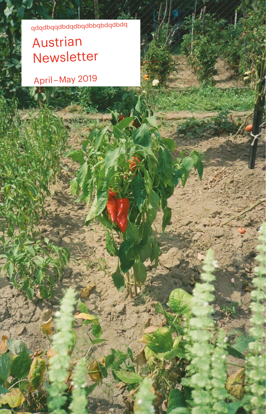bpqpbpqbqqpbqpbpqpbbqpbpb

**SALE OF** 

# Austrian Newsletter

April – May 2019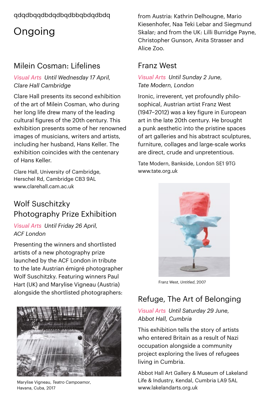### ppdppdppbqbppdppbpp

## Ongoing

### Milein Cosman: Lifelines

#### *Visual Arts Until Wednesday 17 April, Clare Hall Cambridge*

Clare Hall presents its second exhibition of the art of Milein Cosman, who during her long life drew many of the leading cultural figures of the 20th century. This exhibition presents some of her renowned images of musicians, writers and artists, including her husband, Hans Keller. The exhibition coincides with the centenary of Hans Keller.

Clare Hall, University of Cambridge, Herschel Rd, Cambridge CB3 9AL www.clarehall.cam.ac.uk

### Wolf Suschitzky Photography Prize Exhibition

*Visual Arts Until Friday 26 April, ACF London*

Presenting the winners and shortlisted artists of a new photography prize launched by the ACF London in tribute to the late Austrian émigré photographer Wolf Suschitzky. Featuring winners Paul Hart (UK) and Marylise Vigneau (Austria) alongside the shortlisted photographers:



Marylise Vigneau, *Teatro Campoamor*, Havana, Cuba, 2017

from Austria: Kathrin Delhougne, Mario Kiesenhofer, Naa Teki Lebar and Siegmund Skalar: and from the UK: Lilli Burridge Payne, Christopher Gunson, Anita Strasser and Alice Zoo.

### Franz West

*Visual Arts Until Sunday 2 June, Tate Modern, London*

Ironic, irreverent, yet profoundly philosophical, Austrian artist Franz West (1947–2012) was a key figure in European art in the late 20th century. He brought a punk aesthetic into the pristine spaces of art galleries and his abstract sculptures, furniture, collages and large-scale works are direct, crude and unpretentious.

Tate Modern, Bankside, London SE1 9TG [www.tate.org.uk](http://www.tate.org.uk) 



Franz West, *Untitled*, 2007

### Refuge, The Art of Belonging

#### *Visual Arts Until Saturday 29 June, Abbot Hall, Cumbria*

This exhibition tells the story of artists who entered Britain as a result of Nazi occupation alongside a community project exploring the lives of refugees living in Cumbria.

Abbot Hall Art Gallery & Museum of Lakeland Life & Industry, Kendal, Cumbria LA9 5AL [www.lakelandarts.org.uk](http://www.lakelandarts.org.uk)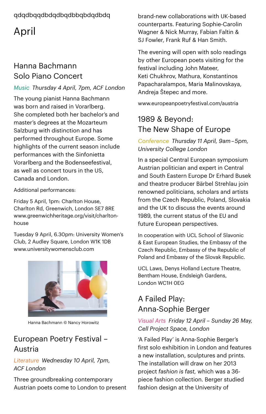## April

### Hanna Bachmann Solo Piano Concert

#### *Music Thursday 4 April, 7pm, ACF London*

The young pianist Hanna Bachmann was born and raised in Vorarlberg. She completed both her bachelor's and master's degrees at the Mozarteum Salzburg with distinction and has performed throughout Europe. Some highlights of the current season include performances with the Sinfonietta Vorarlberg and the Bodenseefestival, as well as concert tours in the US, Canada and London.

Additional performances:

Friday 5 April, 1pm: Charlton House, Charlton Rd, Greenwich, London SE7 8RE [www.greenwichheritage.org/visit/charlton](https://www.greenwichheritage.org/visit/charlton-house)[house](https://www.greenwichheritage.org/visit/charlton-house)

Tuesday 9 April, 6.30pm: University Women's Club, 2 Audley Square, London W1K 1DB [www.universitywomensclub.com](https://www.universitywomensclub.com/)



Hanna Bachmann © Nancy Horowitz

### European Poetry Festival – Austria

#### *Literature Wednesday 10 April, 7pm, ACF London*

Three groundbreaking contemporary Austrian poets come to London to present

brand-new collaborations with UK-based counterparts. Featuring Sophie-Carolin Wagner & Nick Murray, Fabian Faltin & SJ Fowler, Frank Ruf & Han Smith.

The evening will open with solo readings by other European poets visiting for the festival including John Mateer, Keti Chukhrov, Mathura, Konstantinos Papacharalampos, Maria Malinovskaya, Andreja Štepec and more.

[www.europeanpoetryfestival.com/austria](https://www.europeanpoetryfestival.com/austria)

### 1989 & Beyond: The New Shape of Europe

*Conference Thursday 11 April, 9am – 5pm, University College London*

In a special Central European symposium Austrian politician and expert in Central and South Eastern Europe Dr Erhard Busek and theatre producer Bärbel Strehlau join renowned politicians, scholars and artists from the Czech Republic, Poland, Slovakia and the UK to discuss the events around 1989, the current status of the EU and future European perspectives.

In cooperation with UCL School of Slavonic & East European Studies, the Embassy of the Czech Republic, Embassy of the Republic of Poland and Embassy of the Slovak Republic.

UCL Laws, Denys Holland Lecture Theatre, Bentham House, Endsleigh Gardens, London WC1H 0EG

## A Failed Play: Anna-Sophie Berger

#### *Visual Arts Friday 12 April – Sunday 26 May, Cell Project Space, London*

'A Failed Play' is Anna-Sophie Berger's first solo exhibition in London and features a new installation, sculptures and prints. The installation will draw on her 2013 project *fashion is fast,* which was a 36piece fashion collection. Berger studied fashion design at the University of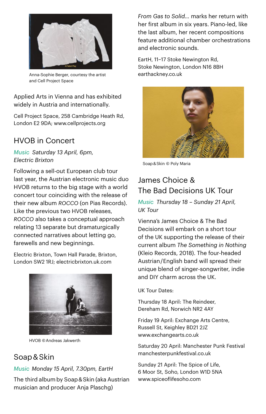

Anna-Sophie Berger, courtesy the artist earthackney.co.uk and Cell Project Space

Applied Arts in Vienna and has exhibited widely in Austria and internationally.

Cell Project Space, 258 Cambridge Heath Rd, London E2 9DA; [www.cellprojects.org](http://www.cellprojects.org/) 

### HVOB in Concert

*Music Saturday 13 April, 6pm, Electric Brixton*

Following a sell-out European club tour last year, the Austrian electronic music duo HVOB returns to the big stage with a world concert tour coinciding with the release of their new album *ROCCO* (on Pias Records). Like the previous two HVOB releases, *ROCCO* also takes a conceptual approach relating 13 separate but dramaturgically connected narratives about letting go, farewells and new beginnings.

Electric Brixton, Town Hall Parade, Brixton, London SW2 1RJ; [electricbrixton.uk.com](http://electricbrixton.uk.com/) 



HVOB © Andreas Jakwerth

#### Soap & Skin

#### *Music Monday 15 April, 7.30pm, EartH*

The third album by Soap & Skin (aka Austrian musician and producer Anja Plaschg)

*From Gas to Solid…* marks her return with her first album in six years. Piano-led, like the last album, her recent compositions feature additional chamber orchestrations and electronic sounds.

EartH, 11–17 Stoke Newington Rd, Stoke Newington, London N16 8BH



Soap & Skin © Poly Maria

### James Choice & The Bad Decisions UK Tour

*Music Thursday 18 – Sunday 21 April, UK Tour*

Vienna's James Choice & The Bad Decisions will embark on a short tour of the UK supporting the release of their current album *The Something in Nothing* (Kleio Records, 2018). The four-headed Austrian / English band will spread their unique blend of singer-songwriter, indie and DIY charm across the UK.

#### UK Tour Dates:

Thursday 18 April: The Reindeer, Dereham Rd, Norwich NR2 4AY

Friday 19 April: Exchange Arts Centre, Russell St, Keighley BD21 2JZ [www.exchangearts.co.uk](https://www.exchangearts.co.uk/)

Saturday 20 April: Manchester Punk Festival [manchesterpunkfestival.co.uk](https://manchesterpunkfestival.co.uk/)

Sunday 21 April: The Spice of Life, 6 Moor St, Soho, London W1D 5NA [www.spiceoflifesoho.com](https://www.spiceoflifesoho.com/)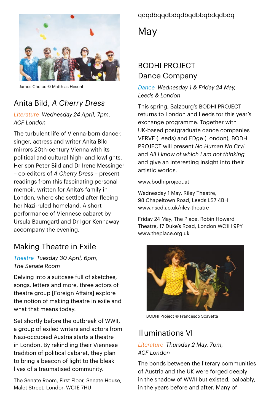

James Choice © Matthias Heschl

### Anita Bild, *A Cherry Dress*

#### *Literature Wednesday 24 April, 7pm, ACF London*

The turbulent life of Vienna-born dancer, singer, actress and writer Anita Bild mirrors 20th-century Vienna with its political and cultural high- and lowlights. Her son Peter Bild and Dr Irene Messinger – co-editors of *A Cherry Dress* – present readings from this fascinating personal memoir, written for Anita's family in London, where she settled after fleeing her Nazi-ruled homeland. A short performance of Viennese cabaret by Ursula Baumgartl and Dr Igor Kennaway accompany the evening.

### Making Theatre in Exile

#### *Theatre Tuesday 30 April, 6pm, The Senate Room*

Delving into a suitcase full of sketches, songs, letters and more, three actors of theatre group [Foreign Affairs] explore the notion of making theatre in exile and what that means today.

Set shortly before the outbreak of WWII, a group of exiled writers and actors from Nazi-occupied Austria starts a theatre in London. By rekindling their Viennese tradition of political cabaret, they plan to bring a beacon of light to the bleak lives of a traumatised community.

The Senate Room, First Floor, Senate House, Malet Street, London WC1E 7HU

#### ppdppdppbqbppdppbppp

May

### BODHI PROJECT Dance Company

*Dance Wednesday 1 & Friday 24 May, Leeds & London*

This spring, Salzburg's BODHI PROJECT returns to London and Leeds for this year's exchange programme. Together with UK-based postgraduate dance companies VERVE (Leeds) and EDge (London), BODHI PROJECT will present *No Human No Cry!*  and *All I know of which I am not thinking* and give an interesting insight into their artistic worlds.

[www.bodhiproject.at](http://www.bodhiproject.at/)

Wednesday 1 May, Riley Theatre, 98 Chapeltown Road, Leeds LS7 4BH [www.nscd.ac.uk/riley-theatre](http://www.nscd.ac.uk/riley-theatre) 

Friday 24 May, The Place, Robin Howard Theatre, 17 Duke's Road, London WC1H 9PY [www.theplace.org.uk](http://www.theplace.org.uk) 



BODHI Project © Francesco Scavetta

### Illuminations VI

#### *Literature Thursday 2 May, 7pm, ACF London*

The bonds between the literary communities of Austria and the UK were forged deeply in the shadow of WWII but existed, palpably, in the years before and after. Many of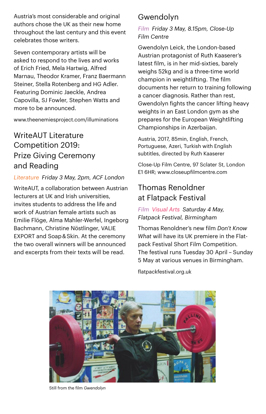Austria's most considerable and original authors chose the UK as their new home throughout the last century and this event celebrates those writers.

Seven contemporary artists will be asked to respond to the lives and works of Erich Fried, Mela Hartwig, Alfred Marnau, Theodor Kramer, Franz Baermann Steiner, Stella Rotenberg and HG Adler. Featuring Dominic Jaeckle, Andrea Capovilla, SJ Fowler, Stephen Watts and more to be announced.

[www.theenemiesproject.com/illuminations](http://www.theenemiesproject.com/illuminations)

### WriteAUT Literature Competition 2019: Prize Giving Ceremony and Reading

#### *Literature Friday 3 May, 2pm, ACF London*

WriteAUT, a collaboration between Austrian lecturers at UK and Irish universities, invites students to address the life and work of Austrian female artists such as Emilie Flöge, Alma Mahler-Werfel, Ingeborg Bachmann, Christine Nöstlinger, VALIE EXPORT and Soap & Skin. At the ceremony the two overall winners will be announced and excerpts from their texts will be read.

### Gwendolyn

*Film Friday 3 May, 8.15pm, Close-Up Film Centre*

Gwendolyn Leick, the London-based Austrian protagonist of Ruth Kaaserer's latest film, is in her mid-sixties, barely weighs 52kg and is a three-time world champion in weightlifting. The film documents her return to training following a cancer diagnosis. Rather than rest, Gwendolyn fights the cancer lifting heavy weights in an East London gym as she prepares for the European Weightlifting Championships in Azerbaijan.

Austria, 2017, 85min, English, French, Portuguese, Azeri, Turkish with English subtitles, directed by Ruth Kaaserer

Close-Up Film Centre, 97 Sclater St, London E1 6HR; www.closeupfilmcentre.com

### Thomas Renoldner at Flatpack Festival

#### *Film Visual Arts Saturday 4 May, Flatpack Festival, Birmingham*

Thomas Renoldner's new film *Don't Know What* will have its UK premiere in the Flatpack Festival Short Film Competition. The festival runs Tuesday 30 April – Sunday 5 May at various venues in Birmingham.

[flatpackfestival.org.uk](https://flatpackfestival.org.uk/)



Still from the film *Gwendolyn*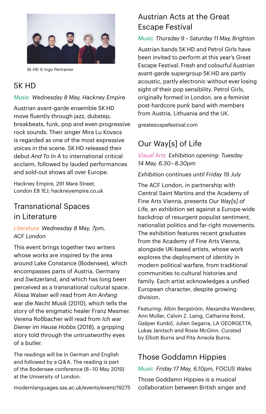

5k HD © Ingo Pertramer

### 5K HD

#### *Music Wednesday 8 May, Hackney Empire*

Austrian avant-garde ensemble 5K HD move fluently through jazz, dubstep, breakbeats, funk, pop and even progressive rock sounds. Their singer Mira Lu Kovacs is regarded as one of the most expressive voices in the scene. 5K HD released their debut *And To In A* to international critical acclaim, followed by lauded performances and sold-out shows all over Europe.

Hackney Empire, 291 Mare Street, London E8 1EJ; [hackneyempire.co.uk](https://hackneyempire.co.uk) 

### Transnational Spaces in Literature

*Literature Wednesday 8 May, 7pm, ACF London*

This event brings together two writers whose works are inspired by the area around Lake Constance (Bodensee), which encompasses parts of Austria, Germany and Switzerland, and which has long been perceived as a transnational cultural space. Alissa Walser will read from *Am Anfang war die Nacht Musik* (2010), which tells the story of the enigmatic healer Franz Mesmer. Verena Roßbacher will read from *Ich war Diener im Hause Hobbs* (2018), a gripping story told through the untrustworthy eyes of a butler.

The readings will be in German and English and followed by a Q & A. The reading is part of the Bodensee conference (8 – 10 May 2019) at the University of London.

[modernlanguages.sas.ac.uk/events/event/19275](https://modernlanguages.sas.ac.uk/events/event/19275) 

### Austrian Acts at the Great Escape Festival

#### *Music Thursday 9 – Saturday 11 May, Brighton*

Austrian bands 5K HD and Petrol Girls have been invited to perform at this year's Great Escape Festival. Fresh and colourful Austrian avant-garde supergroup 5K HD are partly acoustic, partly electronic without ever losing sight of their pop sensibility. Petrol Girls, originally formed in London, are a feminist post-hardcore punk band with members from Austria, Lithuania and the UK.

[greatescapefestival.com](http://greatescapefestival.com) 

### Our Way[s] of Life

*Visual Arts Exhibition opening: Tuesday 14 May, 6.30 – 8.30pm*

*Exhibition continues until Friday 19 July*

The ACF London, in partnership with Central Saint Martins and the Academy of Fine Arts Vienna, presents *Our Way[s] of Life,* an exhibition set against a Europe-wide backdrop of resurgent populist sentiment, nationalist politics and far-right movements. The exhibition features recent graduates from the Academy of Fine Arts Vienna, alongside UK-based artists, whose work explores the deployment of identity in modern political warfare, from traditional communities to cultural histories and family. Each artist acknowledges a unified European character, despite growing division.

Featuring: Albin Bergström, Alexandra Wanderer, Ann Muller, Calvin Z. Laing, Catharina Bond, Gašper Kunšič, Julien Segarra, LA GEORGETTA, Lukas Janitsch and Rosie McGinn. Curated by Elliott Burns and Pita Arreola Burns.

### Those Goddamn Hippies

*Music Friday 17 May, 6.10pm, FOCUS Wales*

Those Goddamn Hippies is a musical collaboration between British singer and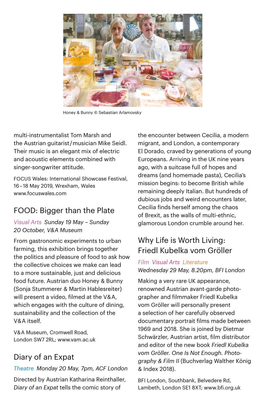

Honey & Bunny © Sebastian Arlamovsky

multi-instrumentalist Tom Marsh and the Austrian guitarist / musician Mike Seidl. Their music is an elegant mix of electric and acoustic elements combined with singer-songwriter attitude.

FOCUS Wales: International Showcase Festival, 16 – 18 May 2019, Wrexham, Wales [www.focuswales.com](http://www.focuswales.com) 

### FOOD: Bigger than the Plate

*Visual Arts Sunday 19 May – Sunday 20 October, V&A Museum*

From gastronomic experiments to urban farming, this exhibition brings together the politics and pleasure of food to ask how the collective choices we make can lead to a more sustainable, just and delicious food future. Austrian duo Honey & Bunny (Sonja Stummerer & Martin Hablesreiter) will present a video, filmed at the V&A, which engages with the culture of dining, sustainability and the collection of the V & A itself.

V& A Museum, Cromwell Road, London SW7 2RL; [www.vam.ac.uk](http://www.vam.ac.uk) 

### Diary of an Expat

*Theatre Monday 20 May, 7pm, ACF London*

Directed by Austrian Katharina Reinthaller, *Diary of an Expat* tells the comic story of

the encounter between Cecilia, a modern migrant, and London, a contemporary El Dorado, craved by generations of young Europeans. Arriving in the UK nine years ago, with a suitcase full of hopes and dreams (and homemade pasta), Cecilia's mission begins: to become British while remaining deeply Italian. But hundreds of dubious jobs and weird encounters later, Cecilia finds herself among the chaos of Brexit, as the walls of multi-ethnic, glamorous London crumble around her.

### Why Life is Worth Living: Friedl Kubelka vom Gröller

#### *Film Visual Arts Literature Wednesday 29 May, 8.20pm, BFI London*

Making a very rare UK appearance, renowned Austrian avant-garde photographer and filmmaker Friedl Kubelka vom Gröller will personally present a selection of her carefully observed documentary portrait films made between 1969 and 2018. She is joined by Dietmar Schwärzler, Austrian artist, film distributor and editor of the new book *Friedl Kubelka vom Gröller. One Is Not Enough. Photography & Film II* (Buchverlag Walther König & Index 2018).

BFI London, Southbank, Belvedere Rd, Lambeth, London SE1 8XT; [www.bfi.org.uk](https://www.bfi.org.uk/)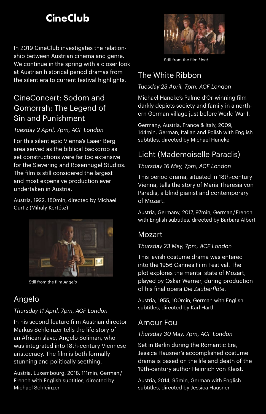## **CineClub**

In 2019 CineClub investigates the relationship between Austrian cinema and genre. We continue in the spring with a closer look at Austrian historical period dramas from the silent era to current festival highlights.

### CineConcert: Sodom and Gomorrah: The Legend of Sin and Punishment

#### *Tuesday 2 April, 7pm, ACF London*

For this silent epic Vienna's Laaer Berg area served as the biblical backdrop as set constructions were far too extensive for the Sievering and Rosenhügel Studios. The film is still considered the largest and most expensive production ever undertaken in Austria.

Austria, 1922, 180min, directed by Michael Curtiz (Mihaly Kertész)



Still from the film *Angelo*

### Angelo

#### *Thursday 11 April, 7pm, ACF London*

In his second feature film Austrian director Markus Schleinzer tells the life story of an African slave, Angelo Soliman, who was integrated into 18th-century Viennese aristocracy. The film is both formally stunning and politically seething.

Austria, Luxembourg, 2018, 111min, German / French with English subtitles, directed by Michael Schleinzer



Still from the film *Licht*

### The White Ribbon

#### *Tuesday 23 April, 7pm, ACF London*

Michael Haneke's Palme d'Or-winning film darkly depicts society and family in a northern German village just before World War I.

Germany, Austria, France & Italy, 2009, 144min, German, Italian and Polish with English subtitles, directed by Michael Haneke

### Licht (Mademoiselle Paradis)

#### *Thursday 16 May, 7pm, ACF London*

This period drama, situated in 18th-century Vienna, tells the story of Maria Theresia von Paradis, a blind pianist and contemporary of Mozart.

Austria, Germany, 2017, 97min, German / French with English subtitles, directed by Barbara Albert

### Mozart

#### *Thursday 23 May, 7pm, ACF London*

This lavish costume drama was entered into the 1956 Cannes Film Festival. The plot explores the mental state of Mozart, played by Oskar Werner, during production of his final opera *Die Zauberflöte*.

Austria, 1955, 100min, German with English subtitles, directed by Karl Hartl

### Amour Fou

#### *Thursday 30 May, 7pm, ACF London*

Set in Berlin during the Romantic Era, Jessica Hausner's accomplished costume drama is based on the life and death of the 19th-century author Heinrich von Kleist.

Austria, 2014, 95min, German with English subtitles, directed by Jessica Hausner